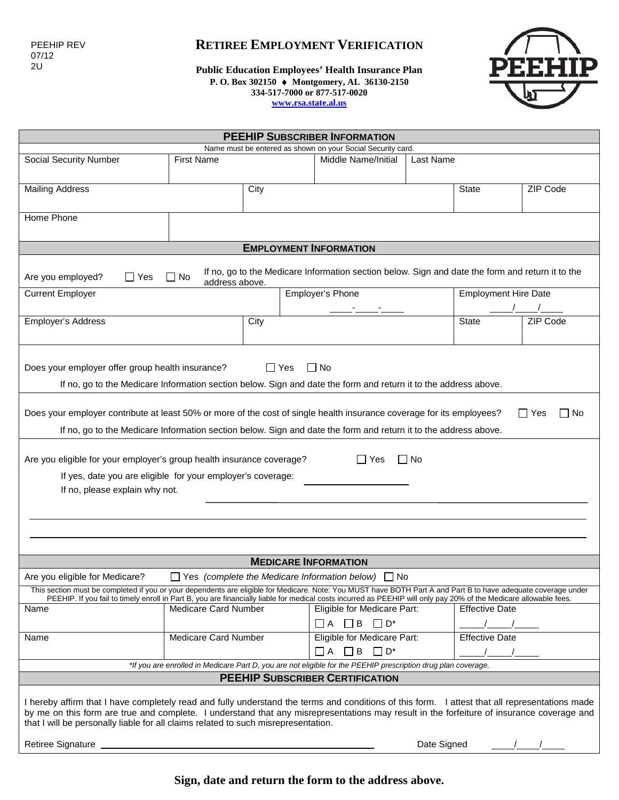## **RETIREE EMPLOYMENT VERIFICATION**

**Public Education Employees' Health Insurance Plan P. O. Box 302150** ♦ **Montgomery, AL 36130-2150 334-517-7000 or 877-517-0020 [www.rsa.state.al.us](http://www.rsa.state.al.us/)**



| <b>PEEHIP SUBSCRIBER INFORMATION</b>                                                                                                                                                                                                                                                                                                                                                                                  |                      |                                  |                                                                                                                                                                                                  |                              |                             |                       |                       |          |
|-----------------------------------------------------------------------------------------------------------------------------------------------------------------------------------------------------------------------------------------------------------------------------------------------------------------------------------------------------------------------------------------------------------------------|----------------------|----------------------------------|--------------------------------------------------------------------------------------------------------------------------------------------------------------------------------------------------|------------------------------|-----------------------------|-----------------------|-----------------------|----------|
| Name must be entered as shown on your Social Security card.                                                                                                                                                                                                                                                                                                                                                           |                      |                                  |                                                                                                                                                                                                  |                              |                             |                       |                       |          |
| <b>Social Security Number</b>                                                                                                                                                                                                                                                                                                                                                                                         | <b>First Name</b>    | Middle Name/Initial<br>Last Name |                                                                                                                                                                                                  |                              |                             |                       |                       |          |
|                                                                                                                                                                                                                                                                                                                                                                                                                       |                      |                                  |                                                                                                                                                                                                  |                              |                             |                       |                       |          |
| <b>Mailing Address</b>                                                                                                                                                                                                                                                                                                                                                                                                |                      | City                             |                                                                                                                                                                                                  |                              |                             |                       | <b>State</b>          | ZIP Code |
|                                                                                                                                                                                                                                                                                                                                                                                                                       |                      |                                  |                                                                                                                                                                                                  |                              |                             |                       |                       |          |
| Home Phone                                                                                                                                                                                                                                                                                                                                                                                                            |                      |                                  |                                                                                                                                                                                                  |                              |                             |                       |                       |          |
|                                                                                                                                                                                                                                                                                                                                                                                                                       |                      |                                  |                                                                                                                                                                                                  |                              |                             |                       |                       |          |
| <b>EMPLOYMENT INFORMATION</b>                                                                                                                                                                                                                                                                                                                                                                                         |                      |                                  |                                                                                                                                                                                                  |                              |                             |                       |                       |          |
| If no, go to the Medicare Information section below. Sign and date the form and return it to the<br>$\Box$ No<br>Are you employed?<br>$\Box$ Yes<br>address above.                                                                                                                                                                                                                                                    |                      |                                  |                                                                                                                                                                                                  |                              |                             |                       |                       |          |
| <b>Current Employer</b>                                                                                                                                                                                                                                                                                                                                                                                               | Employer's Phone     |                                  |                                                                                                                                                                                                  |                              | <b>Employment Hire Date</b> |                       |                       |          |
|                                                                                                                                                                                                                                                                                                                                                                                                                       |                      |                                  |                                                                                                                                                                                                  |                              |                             |                       |                       |          |
| Employer's Address                                                                                                                                                                                                                                                                                                                                                                                                    |                      | City                             |                                                                                                                                                                                                  |                              |                             |                       | <b>State</b>          | ZIP Code |
|                                                                                                                                                                                                                                                                                                                                                                                                                       |                      |                                  |                                                                                                                                                                                                  |                              |                             |                       |                       |          |
| $\Box$ Yes<br>Does your employer offer group health insurance?<br>$\Box$ No                                                                                                                                                                                                                                                                                                                                           |                      |                                  |                                                                                                                                                                                                  |                              |                             |                       |                       |          |
| If no, go to the Medicare Information section below. Sign and date the form and return it to the address above.                                                                                                                                                                                                                                                                                                       |                      |                                  |                                                                                                                                                                                                  |                              |                             |                       |                       |          |
|                                                                                                                                                                                                                                                                                                                                                                                                                       |                      |                                  |                                                                                                                                                                                                  |                              |                             |                       |                       |          |
| Does your employer contribute at least 50% or more of the cost of single health insurance coverage for its employees?<br>$\Box$ Yes<br>l No                                                                                                                                                                                                                                                                           |                      |                                  |                                                                                                                                                                                                  |                              |                             |                       |                       |          |
| If no, go to the Medicare Information section below. Sign and date the form and return it to the address above.                                                                                                                                                                                                                                                                                                       |                      |                                  |                                                                                                                                                                                                  |                              |                             |                       |                       |          |
| Are you eligible for your employer's group health insurance coverage?<br>IIYes<br>l I No<br>If yes, date you are eligible for your employer's coverage:<br>If no, please explain why not.                                                                                                                                                                                                                             |                      |                                  |                                                                                                                                                                                                  |                              |                             |                       |                       |          |
|                                                                                                                                                                                                                                                                                                                                                                                                                       |                      |                                  |                                                                                                                                                                                                  |                              |                             |                       |                       |          |
|                                                                                                                                                                                                                                                                                                                                                                                                                       |                      |                                  |                                                                                                                                                                                                  |                              |                             |                       |                       |          |
|                                                                                                                                                                                                                                                                                                                                                                                                                       |                      |                                  |                                                                                                                                                                                                  |                              |                             |                       |                       |          |
| <b>MEDICARE INFORMATION</b>                                                                                                                                                                                                                                                                                                                                                                                           |                      |                                  |                                                                                                                                                                                                  |                              |                             |                       |                       |          |
| $\Box$ Yes (complete the Medicare Information below) $\Box$ No<br>Are you eligible for Medicare?                                                                                                                                                                                                                                                                                                                      |                      |                                  |                                                                                                                                                                                                  |                              |                             |                       |                       |          |
| This section must be completed if you or your dependents are eligible for Medicare. Note: You MUST have BOTH Part A and Part B to have adequate coverage under                                                                                                                                                                                                                                                        |                      |                                  |                                                                                                                                                                                                  |                              |                             |                       |                       |          |
| Name                                                                                                                                                                                                                                                                                                                                                                                                                  | Medicare Card Number |                                  | PEEHIP. If you fail to timely enroll in Part B, you are financially liable for medical costs incurred as PEEHIP will only pay 20% of the Medicare allowable fees.<br>Eligible for Medicare Part: |                              |                             | <b>Effective Date</b> |                       |          |
|                                                                                                                                                                                                                                                                                                                                                                                                                       |                      |                                  |                                                                                                                                                                                                  | $\Box A$ $\Box B$ $\Box D^*$ |                             |                       |                       |          |
| Medicare Card Number<br>Name                                                                                                                                                                                                                                                                                                                                                                                          |                      |                                  |                                                                                                                                                                                                  | Eligible for Medicare Part:  |                             |                       | <b>Effective Date</b> |          |
|                                                                                                                                                                                                                                                                                                                                                                                                                       |                      |                                  | $\Box$ A<br>$\Box$ B<br>$\Box$ D*                                                                                                                                                                |                              |                             |                       |                       |          |
| *If you are enrolled in Medicare Part D, you are not eligible for the PEEHIP prescription drug plan coverage.                                                                                                                                                                                                                                                                                                         |                      |                                  |                                                                                                                                                                                                  |                              |                             |                       |                       |          |
| <b>PEEHIP SUBSCRIBER CERTIFICATION</b>                                                                                                                                                                                                                                                                                                                                                                                |                      |                                  |                                                                                                                                                                                                  |                              |                             |                       |                       |          |
| I hereby affirm that I have completely read and fully understand the terms and conditions of this form. I attest that all representations made<br>by me on this form are true and complete. I understand that any misrepresentations may result in the forfeiture of insurance coverage and<br>that I will be personally liable for all claims related to such misrepresentation.<br>Date Signed<br>Retiree Signature |                      |                                  |                                                                                                                                                                                                  |                              |                             |                       |                       |          |
|                                                                                                                                                                                                                                                                                                                                                                                                                       |                      |                                  |                                                                                                                                                                                                  |                              |                             |                       |                       |          |

**Sign, date and return the form to the address above.**